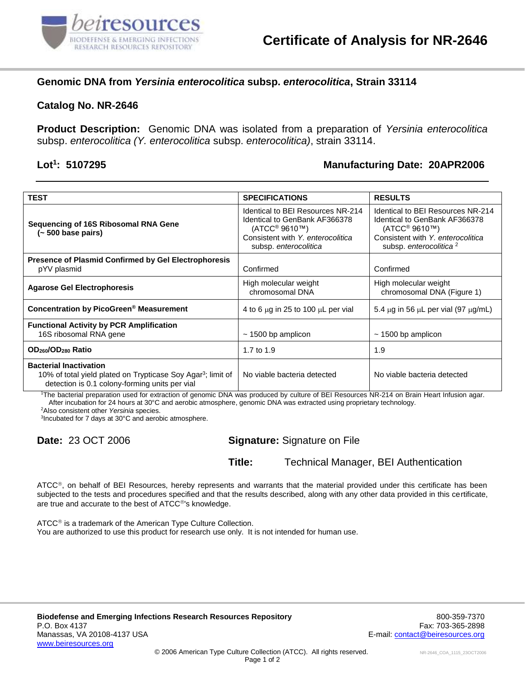

## **Genomic DNA from** *Yersinia enterocolitica* **subsp.** *enterocolitica***, Strain 33114**

#### **Catalog No. NR-2646**

**Product Description:** Genomic DNA was isolated from a preparation of *Yersinia enterocolitica* subsp. *enterocolitica (Y. enterocolitica* subsp. *enterocolitica)*, strain 33114.

#### **Lot<sup>1</sup>**

## **: 5107295 Manufacturing Date: 20APR2006**

| <b>TEST</b>                                                                                                                                                 | <b>SPECIFICATIONS</b>                                                                                                                                                       | <b>RESULTS</b>                                                                                                                                                             |
|-------------------------------------------------------------------------------------------------------------------------------------------------------------|-----------------------------------------------------------------------------------------------------------------------------------------------------------------------------|----------------------------------------------------------------------------------------------------------------------------------------------------------------------------|
| Sequencing of 16S Ribosomal RNA Gene<br>(~500 base pairs)                                                                                                   | Identical to BEI Resources NR-214<br>Identical to GenBank AF366378<br>(ATCC <sup>®</sup> 9610 <sup>TM</sup> )<br>Consistent with Y. enterocolitica<br>subsp. enterocolitica | Identical to BEI Resources NR-214<br>Identical to GenBank AF366378<br>(ATCC <sup>®</sup> 9610™)<br>Consistent with Y. enterocolitica<br>subsp. enterocolitica <sup>2</sup> |
| <b>Presence of Plasmid Confirmed by Gel Electrophoresis</b><br>pYV plasmid                                                                                  | Confirmed                                                                                                                                                                   | Confirmed                                                                                                                                                                  |
| <b>Agarose Gel Electrophoresis</b>                                                                                                                          | High molecular weight<br>chromosomal DNA                                                                                                                                    | High molecular weight<br>chromosomal DNA (Figure 1)                                                                                                                        |
| Concentration by PicoGreen <sup>®</sup> Measurement                                                                                                         | 4 to 6 $\mu$ g in 25 to 100 $\mu$ L per vial                                                                                                                                | 5.4 $\mu$ g in 56 $\mu$ L per vial (97 $\mu$ g/mL)                                                                                                                         |
| <b>Functional Activity by PCR Amplification</b><br>16S ribosomal RNA gene                                                                                   | $\sim$ 1500 bp amplicon                                                                                                                                                     | $\sim$ 1500 bp amplicon                                                                                                                                                    |
| OD <sub>260</sub> /OD <sub>280</sub> Ratio                                                                                                                  | 1.7 to 1.9                                                                                                                                                                  | 1.9                                                                                                                                                                        |
| <b>Bacterial Inactivation</b><br>10% of total yield plated on Trypticase Soy Agar <sup>3</sup> ; limit of<br>detection is 0.1 colony-forming units per vial | No viable bacteria detected                                                                                                                                                 | No viable bacteria detected                                                                                                                                                |

<sup>1</sup>The bacterial preparation used for extraction of genomic DNA was produced by culture of BEI Resources NR-214 on Brain Heart Infusion agar. After incubation for 24 hours at 30°C and aerobic atmosphere, genomic DNA was extracted using proprietary technology.

<sup>2</sup>Also consistent other *Yersinia* species.

3 Incubated for 7 days at 30°C and aerobic atmosphere.

### **Date:** 23 OCT 2006 **Signature:** Signature on File

**Title:** Technical Manager, BEI Authentication

ATCC®, on behalf of BEI Resources, hereby represents and warrants that the material provided under this certificate has been subjected to the tests and procedures specified and that the results described, along with any other data provided in this certificate, are true and accurate to the best of ATCC<sup>®'</sup>s knowledge.

 $ATCC<sup>®</sup>$  is a trademark of the American Type Culture Collection. You are authorized to use this product for research use only. It is not intended for human use.